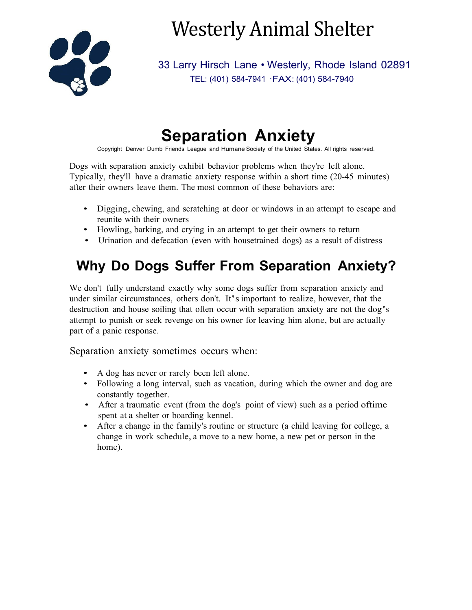

# Westerly Animal Shelter

33 Larry Hirsch Lane • Westerly, Rhode Island 02891 TEL: (401) 584-7941 ·FAX: (401) 584-7940

# **Separation Anxiety**

Copyright Denver Dumb Friends League and Humane Society of the United States. All rights reserved.

Dogs with separation anxiety exhibit behavior problems when they're left alone. Typically, they'll have a dramatic anxiety response within a short time (20-45 minutes) after their owners leave them. The most common of these behaviors are:

- Digging, chewing, and scratching at door or windows in an attempt to escape and reunite with their owners
- Howling, barking, and crying in an attempt to get their owners to return
- Urination and defecation (even with housetrained dogs) as a result of distress

#### **Why Do Dogs Suffer From Separation Anxiety?**

We don't fully understand exactly why some dogs suffer from separation anxiety and under similar circumstances, others don't. It'simportant to realize, however, that the destruction and house soiling that often occur with separation anxiety are not the dog's attempt to punish or seek revenge on his owner for leaving him alone, but are actually part of a panic response.

Separation anxiety sometimes occurs when:

- A dog has never or rarely been left alone.
- Following a long interval, such as vacation, during which the owner and dog are constantly together.
- After a traumatic event (from the dog's point of view) such as a period oftime spent at a shelter or boarding kennel.
- After a change in the family's routine or structure (a child leaving for college, a change in work schedule, a move to a new home, a new pet or person in the home).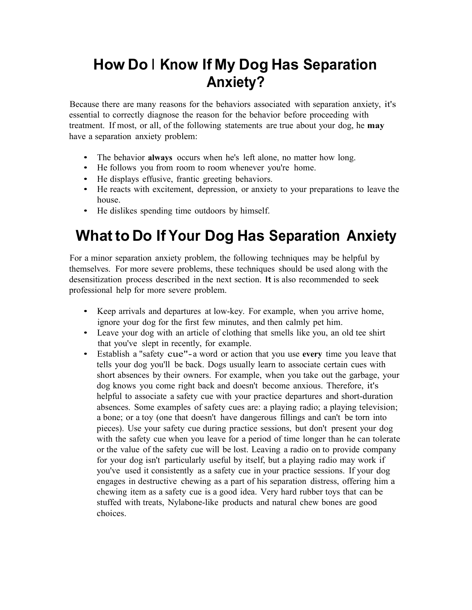# **How Do I Know If My Dog Has Separation Anxiety?**

Because there are many reasons for the behaviors associated with separation anxiety, it's essential to correctly diagnose the reason for the behavior before proceeding with treatment. If most, or all, of the following statements are true about your dog, he **may**  have a separation anxiety problem:

- The behavior **always** occurs when he's left alone, no matter how long.
- He follows you from room to room whenever you're home.
- He displays effusive, frantic greeting behaviors.
- He reacts with excitement, depression, or anxiety to your preparations to leave the house.
- He dislikes spending time outdoors by himself.

# **What to Do If Your Dog Has Separation Anxiety**

For a minor separation anxiety problem, the following techniques may be helpful by themselves. For more severe problems, these techniques should be used along with the desensitization process described in the next section. It is also recommended to seek professional help for more severe problem.

- Keep arrivals and departures at low-key. For example, when you arrive home, ignore your dog for the first few minutes, and then calmly pet him.
- Leave your dog with an article of clothing that smells like you, an old tee shirt that you've slept in recently, for example.
- Establish a "safety cue"-a word or action that you use **every** time you leave that tells your dog you'll be back. Dogs usually learn to associate certain cues with short absences by their owners. For example, when you take out the garbage, your dog knows you come right back and doesn't become anxious. Therefore, it's helpful to associate a safety cue with your practice departures and short-duration absences. Some examples of safety cues are: a playing radio; a playing television; a bone; or a toy (one that doesn't have dangerous fillings and can't be torn into pieces). Use your safety cue during practice sessions, but don't present your dog with the safety cue when you leave for a period of time longer than he can tolerate or the value of the safety cue will be lost. Leaving a radio on to provide company for your dog isn't particularly useful by itself, but a playing radio may work if you've used it consistently as a safety cue in your practice sessions. If your dog engages in destructive chewing as a part of his separation distress, offering him a chewing item as a safety cue is a good idea. Very hard rubber toys that can be stuffed with treats, Nylabone-like products and natural chew bones are good choices.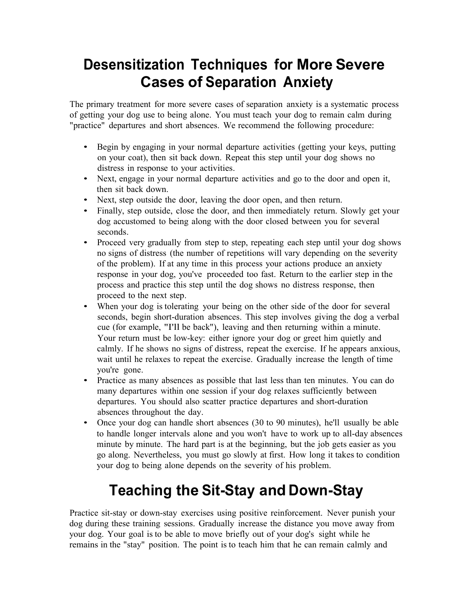#### **Desensitization Techniques for More Severe Cases of Separation Anxiety**

The primary treatment for more severe cases of separation anxiety is a systematic process of getting your dog use to being alone. You must teach your dog to remain calm during "practice" departures and short absences. We recommend the following procedure:

- Begin by engaging in your normal departure activities (getting your keys, putting on your coat), then sit back down. Repeat this step until your dog shows no distress in response to your activities.
- Next, engage in your normal departure activities and go to the door and open it, then sit back down.
- Next, step outside the door, leaving the door open, and then return.
- Finally, step outside, close the door, and then immediately return. Slowly get your dog accustomed to being along with the door closed between you for several seconds.
- Proceed very gradually from step to step, repeating each step until your dog shows no signs of distress (the number of repetitions will vary depending on the severity of the problem). If at any time in this process your actions produce an anxiety response in your dog, you've proceeded too fast. Return to the earlier step in the process and practice this step until the dog shows no distress response, then proceed to the next step.
- When your dog is tolerating your being on the other side of the door for several seconds, begin short-duration absences. This step involves giving the dog a verbal cue (for example, "I'll be back"), leaving and then returning within a minute. Your return must be low-key: either ignore your dog or greet him quietly and calmly. If he shows no signs of distress, repeat the exercise. If he appears anxious, wait until he relaxes to repeat the exercise. Gradually increase the length of time you're gone.
- Practice as many absences as possible that last less than ten minutes. You can do many departures within one session if your dog relaxes sufficiently between departures. You should also scatter practice departures and short-duration absences throughout the day.
- Once your dog can handle short absences (30 to 90 minutes), he'll usually be able to handle longer intervals alone and you won't have to work up to all-day absences minute by minute. The hard part is at the beginning, but the job gets easier as you go along. Nevertheless, you must go slowly at first. How long it takes to condition your dog to being alone depends on the severity of his problem.

# **Teaching the Sit-Stay and Down-Stay**

Practice sit-stay or down-stay exercises using positive reinforcement. Never punish your dog during these training sessions. Gradually increase the distance you move away from your dog. Your goal is to be able to move briefly out of your dog's sight while he remains in the "stay" position. The point is to teach him that he can remain calmly and